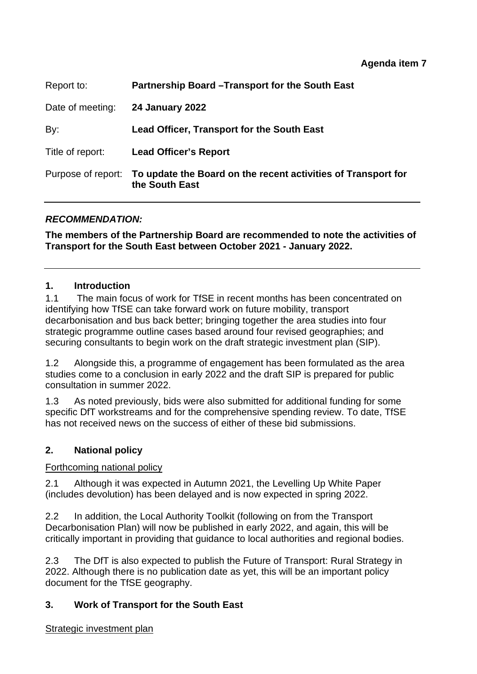## **Agenda item 7**

| Report to:         | Partnership Board - Transport for the South East                                |
|--------------------|---------------------------------------------------------------------------------|
| Date of meeting:   | <b>24 January 2022</b>                                                          |
| By:                | <b>Lead Officer, Transport for the South East</b>                               |
| Title of report:   | <b>Lead Officer's Report</b>                                                    |
| Purpose of report: | To update the Board on the recent activities of Transport for<br>the South East |

## *RECOMMENDATION:*

**The members of the Partnership Board are recommended to note the activities of Transport for the South East between October 2021 - January 2022.** 

## **1. Introduction**

1.1 The main focus of work for TfSE in recent months has been concentrated on identifying how TfSE can take forward work on future mobility, transport decarbonisation and bus back better; bringing together the area studies into four strategic programme outline cases based around four revised geographies; and securing consultants to begin work on the draft strategic investment plan (SIP).

1.2 Alongside this, a programme of engagement has been formulated as the area studies come to a conclusion in early 2022 and the draft SIP is prepared for public consultation in summer 2022.

1.3 As noted previously, bids were also submitted for additional funding for some specific DfT workstreams and for the comprehensive spending review. To date, TfSE has not received news on the success of either of these bid submissions.

## **2. National policy**

## Forthcoming national policy

2.1 Although it was expected in Autumn 2021, the Levelling Up White Paper (includes devolution) has been delayed and is now expected in spring 2022.

2.2 In addition, the Local Authority Toolkit (following on from the Transport Decarbonisation Plan) will now be published in early 2022, and again, this will be critically important in providing that guidance to local authorities and regional bodies.

2.3 The DfT is also expected to publish the Future of Transport: Rural Strategy in 2022. Although there is no publication date as yet, this will be an important policy document for the TfSE geography.

## **3. Work of Transport for the South East**

#### Strategic investment plan